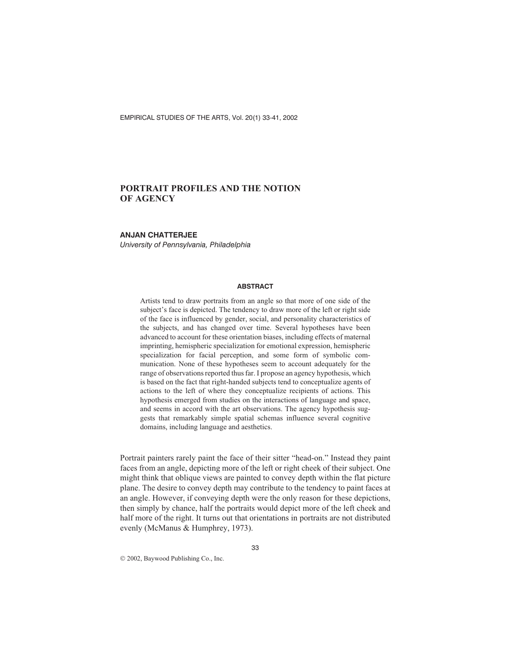EMPIRICAL STUDIES OF THE ARTS, Vol. 20(1) 33-41, 2002

# **PORTRAIT PROFILES AND THE NOTION OF AGENCY**

#### **ANJAN CHATTERJEE**

*University of Pennsylvania, Philadelphia*

#### **ABSTRACT**

Artists tend to draw portraits from an angle so that more of one side of the subject's face is depicted. The tendency to draw more of the left or right side of the face is influenced by gender, social, and personality characteristics of the subjects, and has changed over time. Several hypotheses have been advanced to account for these orientation biases, including effects of maternal imprinting, hemispheric specialization for emotional expression, hemispheric specialization for facial perception, and some form of symbolic communication. None of these hypotheses seem to account adequately for the range of observations reported thus far. I propose an agency hypothesis, which is based on the fact that right-handed subjects tend to conceptualize agents of actions to the left of where they conceptualize recipients of actions. This hypothesis emerged from studies on the interactions of language and space, and seems in accord with the art observations. The agency hypothesis suggests that remarkably simple spatial schemas influence several cognitive domains, including language and aesthetics.

Portrait painters rarely paint the face of their sitter "head-on." Instead they paint faces from an angle, depicting more of the left or right cheek of their subject. One might think that oblique views are painted to convey depth within the flat picture plane. The desire to convey depth may contribute to the tendency to paint faces at an angle. However, if conveying depth were the only reason for these depictions, then simply by chance, half the portraits would depict more of the left cheek and half more of the right. It turns out that orientations in portraits are not distributed evenly (McManus & Humphrey, 1973).

2002, Baywood Publishing Co., Inc.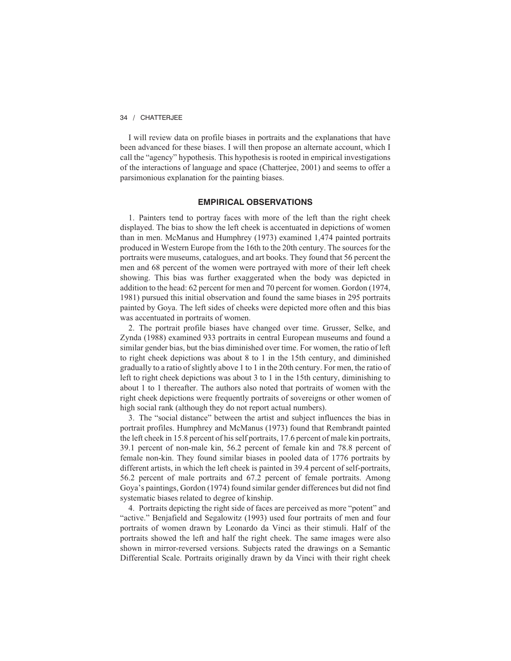I will review data on profile biases in portraits and the explanations that have been advanced for these biases. I will then propose an alternate account, which I call the "agency" hypothesis. This hypothesis is rooted in empirical investigations of the interactions of language and space (Chatterjee, 2001) and seems to offer a parsimonious explanation for the painting biases.

### **EMPIRICAL OBSERVATIONS**

1. Painters tend to portray faces with more of the left than the right cheek displayed. The bias to show the left cheek is accentuated in depictions of women than in men. McManus and Humphrey (1973) examined 1,474 painted portraits produced in Western Europe from the 16th to the 20th century. The sources for the portraits were museums, catalogues, and art books. They found that 56 percent the men and 68 percent of the women were portrayed with more of their left cheek showing. This bias was further exaggerated when the body was depicted in addition to the head: 62 percent for men and 70 percent for women. Gordon (1974, 1981) pursued this initial observation and found the same biases in 295 portraits painted by Goya. The left sides of cheeks were depicted more often and this bias was accentuated in portraits of women.

2. The portrait profile biases have changed over time. Grusser, Selke, and Zynda (1988) examined 933 portraits in central European museums and found a similar gender bias, but the bias diminished over time. For women, the ratio of left to right cheek depictions was about 8 to 1 in the 15th century, and diminished gradually to a ratio of slightly above 1 to 1 in the 20th century. For men, the ratio of left to right cheek depictions was about 3 to 1 in the 15th century, diminishing to about 1 to 1 thereafter. The authors also noted that portraits of women with the right cheek depictions were frequently portraits of sovereigns or other women of high social rank (although they do not report actual numbers).

3. The "social distance" between the artist and subject influences the bias in portrait profiles. Humphrey and McManus (1973) found that Rembrandt painted the left cheek in 15.8 percent of his self portraits, 17.6 percent of male kin portraits, 39.1 percent of non-male kin, 56.2 percent of female kin and 78.8 percent of female non-kin. They found similar biases in pooled data of 1776 portraits by different artists, in which the left cheek is painted in 39.4 percent of self-portraits, 56.2 percent of male portraits and 67.2 percent of female portraits. Among Goya's paintings, Gordon (1974) found similar gender differences but did not find systematic biases related to degree of kinship.

4. Portraits depicting the right side of faces are perceived as more "potent" and "active." Benjafield and Segalowitz (1993) used four portraits of men and four portraits of women drawn by Leonardo da Vinci as their stimuli. Half of the portraits showed the left and half the right cheek. The same images were also shown in mirror-reversed versions. Subjects rated the drawings on a Semantic Differential Scale. Portraits originally drawn by da Vinci with their right cheek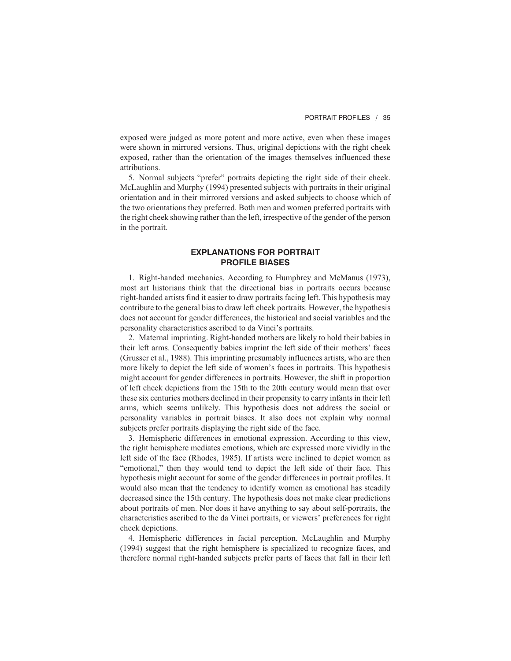exposed were judged as more potent and more active, even when these images were shown in mirrored versions. Thus, original depictions with the right cheek exposed, rather than the orientation of the images themselves influenced these attributions.

5. Normal subjects "prefer" portraits depicting the right side of their cheek. McLaughlin and Murphy (1994) presented subjects with portraits in their original orientation and in their mirrored versions and asked subjects to choose which of the two orientations they preferred. Both men and women preferred portraits with the right cheek showing rather than the left, irrespective of the gender of the person in the portrait.

## **EXPLANATIONS FOR PORTRAIT PROFILE BIASES**

1. Right-handed mechanics. According to Humphrey and McManus (1973), most art historians think that the directional bias in portraits occurs because right-handed artists find it easier to draw portraits facing left. This hypothesis may contribute to the general bias to draw left cheek portraits. However, the hypothesis does not account for gender differences, the historical and social variables and the personality characteristics ascribed to da Vinci's portraits.

2. Maternal imprinting. Right-handed mothers are likely to hold their babies in their left arms. Consequently babies imprint the left side of their mothers' faces (Grusser et al., 1988). This imprinting presumably influences artists, who are then more likely to depict the left side of women's faces in portraits. This hypothesis might account for gender differences in portraits. However, the shift in proportion of left cheek depictions from the 15th to the 20th century would mean that over these six centuries mothers declined in their propensity to carry infants in their left arms, which seems unlikely. This hypothesis does not address the social or personality variables in portrait biases. It also does not explain why normal subjects prefer portraits displaying the right side of the face.

3. Hemispheric differences in emotional expression. According to this view, the right hemisphere mediates emotions, which are expressed more vividly in the left side of the face (Rhodes, 1985). If artists were inclined to depict women as "emotional," then they would tend to depict the left side of their face. This hypothesis might account for some of the gender differences in portrait profiles. It would also mean that the tendency to identify women as emotional has steadily decreased since the 15th century. The hypothesis does not make clear predictions about portraits of men. Nor does it have anything to say about self-portraits, the characteristics ascribed to the da Vinci portraits, or viewers' preferences for right cheek depictions.

4. Hemispheric differences in facial perception. McLaughlin and Murphy (1994) suggest that the right hemisphere is specialized to recognize faces, and therefore normal right-handed subjects prefer parts of faces that fall in their left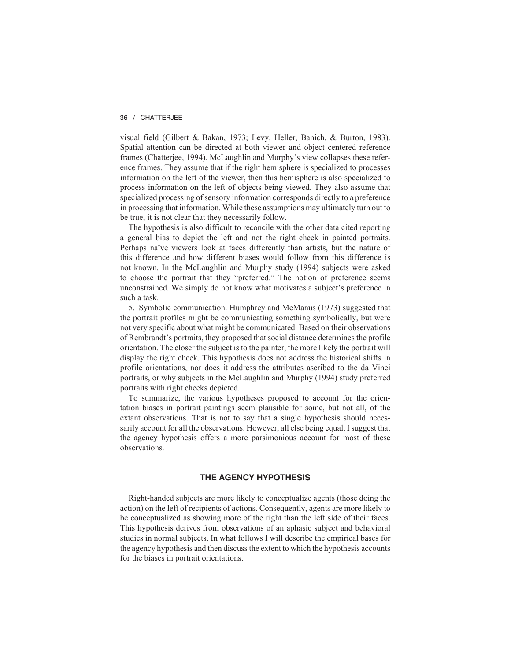visual field (Gilbert & Bakan, 1973; Levy, Heller, Banich, & Burton, 1983). Spatial attention can be directed at both viewer and object centered reference frames (Chatterjee, 1994). McLaughlin and Murphy's view collapses these reference frames. They assume that if the right hemisphere is specialized to processes information on the left of the viewer, then this hemisphere is also specialized to process information on the left of objects being viewed. They also assume that specialized processing of sensory information corresponds directly to a preference in processing that information. While these assumptions may ultimately turn out to be true, it is not clear that they necessarily follow.

The hypothesis is also difficult to reconcile with the other data cited reporting a general bias to depict the left and not the right cheek in painted portraits. Perhaps naïve viewers look at faces differently than artists, but the nature of this difference and how different biases would follow from this difference is not known. In the McLaughlin and Murphy study (1994) subjects were asked to choose the portrait that they "preferred." The notion of preference seems unconstrained. We simply do not know what motivates a subject's preference in such a task.

5. Symbolic communication. Humphrey and McManus (1973) suggested that the portrait profiles might be communicating something symbolically, but were not very specific about what might be communicated. Based on their observations of Rembrandt's portraits, they proposed that social distance determines the profile orientation. The closer the subject is to the painter, the more likely the portrait will display the right cheek. This hypothesis does not address the historical shifts in profile orientations, nor does it address the attributes ascribed to the da Vinci portraits, or why subjects in the McLaughlin and Murphy (1994) study preferred portraits with right cheeks depicted.

To summarize, the various hypotheses proposed to account for the orientation biases in portrait paintings seem plausible for some, but not all, of the extant observations. That is not to say that a single hypothesis should necessarily account for all the observations. However, all else being equal, I suggest that the agency hypothesis offers a more parsimonious account for most of these observations.

#### **THE AGENCY HYPOTHESIS**

Right-handed subjects are more likely to conceptualize agents (those doing the action) on the left of recipients of actions. Consequently, agents are more likely to be conceptualized as showing more of the right than the left side of their faces. This hypothesis derives from observations of an aphasic subject and behavioral studies in normal subjects. In what follows I will describe the empirical bases for the agency hypothesis and then discuss the extent to which the hypothesis accounts for the biases in portrait orientations.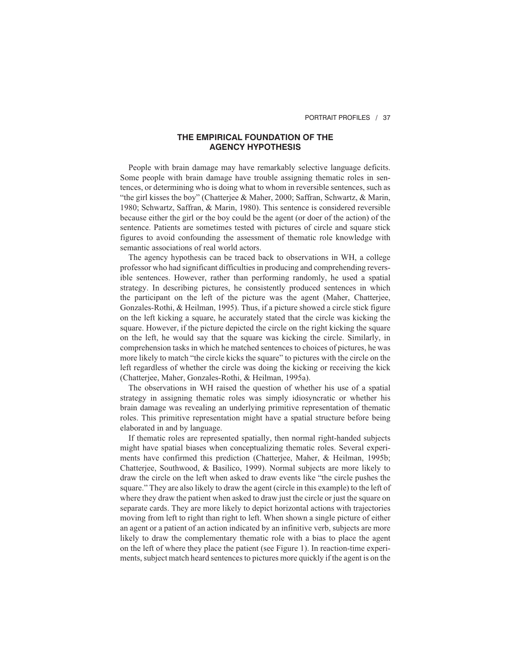# **THE EMPIRICAL FOUNDATION OF THE AGENCY HYPOTHESIS**

People with brain damage may have remarkably selective language deficits. Some people with brain damage have trouble assigning thematic roles in sentences, or determining who is doing what to whom in reversible sentences, such as "the girl kisses the boy" (Chatterjee & Maher, 2000; Saffran, Schwartz, & Marin, 1980; Schwartz, Saffran, & Marin, 1980). This sentence is considered reversible because either the girl or the boy could be the agent (or doer of the action) of the sentence. Patients are sometimes tested with pictures of circle and square stick figures to avoid confounding the assessment of thematic role knowledge with semantic associations of real world actors.

The agency hypothesis can be traced back to observations in WH, a college professor who had significant difficulties in producing and comprehending reversible sentences. However, rather than performing randomly, he used a spatial strategy. In describing pictures, he consistently produced sentences in which the participant on the left of the picture was the agent (Maher, Chatterjee, Gonzales-Rothi, & Heilman, 1995). Thus, if a picture showed a circle stick figure on the left kicking a square, he accurately stated that the circle was kicking the square. However, if the picture depicted the circle on the right kicking the square on the left, he would say that the square was kicking the circle. Similarly, in comprehension tasks in which he matched sentences to choices of pictures, he was more likely to match "the circle kicks the square" to pictures with the circle on the left regardless of whether the circle was doing the kicking or receiving the kick (Chatterjee, Maher, Gonzales-Rothi, & Heilman, 1995a).

The observations in WH raised the question of whether his use of a spatial strategy in assigning thematic roles was simply idiosyncratic or whether his brain damage was revealing an underlying primitive representation of thematic roles. This primitive representation might have a spatial structure before being elaborated in and by language.

If thematic roles are represented spatially, then normal right-handed subjects might have spatial biases when conceptualizing thematic roles. Several experiments have confirmed this prediction (Chatterjee, Maher, & Heilman, 1995b; Chatterjee, Southwood, & Basilico, 1999). Normal subjects are more likely to draw the circle on the left when asked to draw events like "the circle pushes the square." They are also likely to draw the agent (circle in this example) to the left of where they draw the patient when asked to draw just the circle or just the square on separate cards. They are more likely to depict horizontal actions with trajectories moving from left to right than right to left. When shown a single picture of either an agent or a patient of an action indicated by an infinitive verb, subjects are more likely to draw the complementary thematic role with a bias to place the agent on the left of where they place the patient (see Figure 1). In reaction-time experiments, subject match heard sentences to pictures more quickly if the agent is on the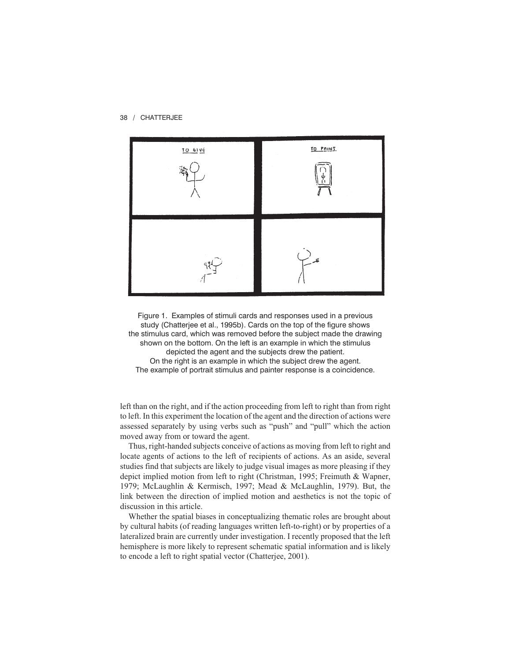

Figure 1. Examples of stimuli cards and responses used in a previous study (Chatterjee et al., 1995b). Cards on the top of the figure shows the stimulus card, which was removed before the subject made the drawing shown on the bottom. On the left is an example in which the stimulus depicted the agent and the subjects drew the patient. On the right is an example in which the subject drew the agent. The example of portrait stimulus and painter response is a coincidence.

left than on the right, and if the action proceeding from left to right than from right to left. In this experiment the location of the agent and the direction of actions were assessed separately by using verbs such as "push" and "pull" which the action moved away from or toward the agent.

Thus, right-handed subjects conceive of actions as moving from left to right and locate agents of actions to the left of recipients of actions. As an aside, several studies find that subjects are likely to judge visual images as more pleasing if they depict implied motion from left to right (Christman, 1995; Freimuth & Wapner, 1979; McLaughlin & Kermisch, 1997; Mead & McLaughlin, 1979). But, the link between the direction of implied motion and aesthetics is not the topic of discussion in this article.

Whether the spatial biases in conceptualizing thematic roles are brought about by cultural habits (of reading languages written left-to-right) or by properties of a lateralized brain are currently under investigation. I recently proposed that the left hemisphere is more likely to represent schematic spatial information and is likely to encode a left to right spatial vector (Chatterjee, 2001).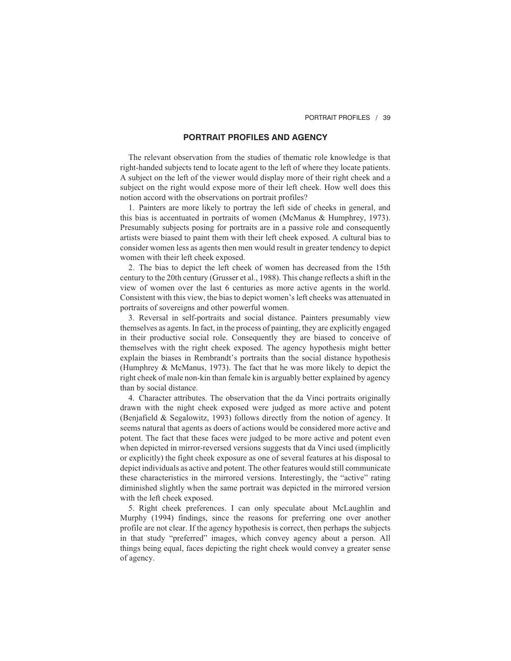## **PORTRAIT PROFILES AND AGENCY**

The relevant observation from the studies of thematic role knowledge is that right-handed subjects tend to locate agent to the left of where they locate patients. A subject on the left of the viewer would display more of their right cheek and a subject on the right would expose more of their left cheek. How well does this notion accord with the observations on portrait profiles?

1. Painters are more likely to portray the left side of cheeks in general, and this bias is accentuated in portraits of women (McManus & Humphrey, 1973). Presumably subjects posing for portraits are in a passive role and consequently artists were biased to paint them with their left cheek exposed. A cultural bias to consider women less as agents then men would result in greater tendency to depict women with their left cheek exposed.

2. The bias to depict the left cheek of women has decreased from the 15th century to the 20th century (Grusser et al., 1988). This change reflects a shift in the view of women over the last 6 centuries as more active agents in the world. Consistent with this view, the bias to depict women's left cheeks was attenuated in portraits of sovereigns and other powerful women.

3. Reversal in self-portraits and social distance. Painters presumably view themselves as agents. In fact, in the process of painting, they are explicitly engaged in their productive social role. Consequently they are biased to conceive of themselves with the right cheek exposed. The agency hypothesis might better explain the biases in Rembrandt's portraits than the social distance hypothesis (Humphrey & McManus, 1973). The fact that he was more likely to depict the right cheek of male non-kin than female kin is arguably better explained by agency than by social distance.

4. Character attributes. The observation that the da Vinci portraits originally drawn with the night cheek exposed were judged as more active and potent (Benjafield & Segalowitz, 1993) follows directly from the notion of agency. It seems natural that agents as doers of actions would be considered more active and potent. The fact that these faces were judged to be more active and potent even when depicted in mirror-reversed versions suggests that da Vinci used (implicitly or explicitly) the fight cheek exposure as one of several features at his disposal to depict individuals as active and potent. The other features would still communicate these characteristics in the mirrored versions. Interestingly, the "active" rating diminished slightly when the same portrait was depicted in the mirrored version with the left cheek exposed.

5. Right cheek preferences. I can only speculate about McLaughlin and Murphy (1994) findings, since the reasons for preferring one over another profile are not clear. If the agency hypothesis is correct, then perhaps the subjects in that study "preferred" images, which convey agency about a person. All things being equal, faces depicting the right cheek would convey a greater sense of agency.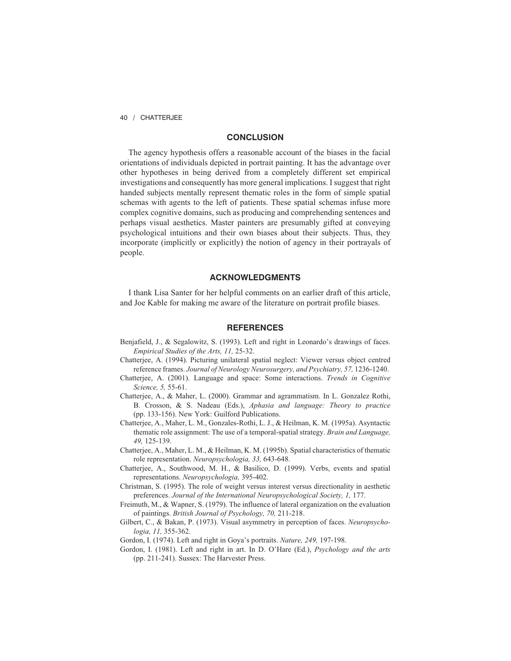## **CONCLUSION**

The agency hypothesis offers a reasonable account of the biases in the facial orientations of individuals depicted in portrait painting. It has the advantage over other hypotheses in being derived from a completely different set empirical investigations and consequently has more general implications. I suggest that right handed subjects mentally represent thematic roles in the form of simple spatial schemas with agents to the left of patients. These spatial schemas infuse more complex cognitive domains, such as producing and comprehending sentences and perhaps visual aesthetics. Master painters are presumably gifted at conveying psychological intuitions and their own biases about their subjects. Thus, they incorporate (implicitly or explicitly) the notion of agency in their portrayals of people.

### **ACKNOWLEDGMENTS**

I thank Lisa Santer for her helpful comments on an earlier draft of this article, and Joe Kable for making me aware of the literature on portrait profile biases.

# **REFERENCES**

- Benjafield, J., & Segalowitz, S. (1993). Left and right in Leonardo's drawings of faces. *Empirical Studies of the Arts, 11,* 25-32.
- Chatterjee, A. (1994). Picturing unilateral spatial neglect: Viewer versus object centred reference frames. *Journal of Neurology Neurosurgery, and Psychiatry, 57,* 1236-1240.
- Chatterjee, A. (2001). Language and space: Some interactions. *Trends in Cognitive Science, 5,* 55-61.
- Chatterjee, A., & Maher, L. (2000). Grammar and agrammatism. In L. Gonzalez Rothi, B. Crosson, & S. Nadeau (Eds.), *Aphasia and language: Theory to practice* (pp. 133-156). New York: Guilford Publications.
- Chatterjee, A., Maher, L. M., Gonzales-Rothi, L. J., & Heilman, K. M. (1995a). Asyntactic thematic role assignment: The use of a temporal-spatial strategy. *Brain and Language, 49,* 125-139.
- Chatterjee, A., Maher, L. M., & Heilman, K. M. (1995b). Spatial characteristics of thematic role representation. *Neuropsychologia, 33,* 643-648.
- Chatterjee, A., Southwood, M. H., & Basilico, D. (1999). Verbs, events and spatial representations. *Neuropsychologia,* 395-402.
- Christman, S. (1995). The role of weight versus interest versus directionality in aesthetic preferences. *Journal of the International Neuropsychological Society, 1,* 177.
- Freimuth, M., & Wapner, S. (1979). The influence of lateral organization on the evaluation of paintings. *British Journal of Psychology, 70,* 211-218.
- Gilbert, C., & Bakan, P. (1973). Visual asymmetry in perception of faces. *Neuropsychologia, 11,* 355-362.
- Gordon, I. (1974). Left and right in Goya's portraits. *Nature, 249,* 197-198.
- Gordon, I. (1981). Left and right in art. In D. O'Hare (Ed.), *Psychology and the arts* (pp. 211-241). Sussex: The Harvester Press.